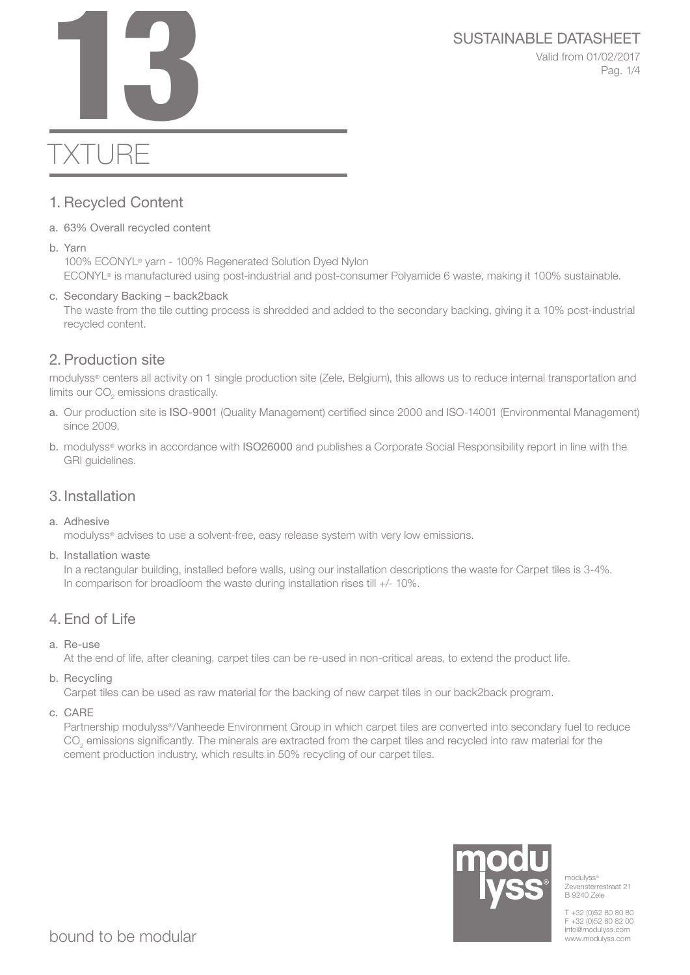# SUSTAINABLE DATASHEET<br>Valid from 01/02/2017<br>Pag. 1/4

Valid from 01/02/2017 Pag. 1/4

# TXTURE

# 1. Recycled Content

- a. 63% Overall recycled content
- b. Yarn

100% ECONYL® yarn - 100% Regenerated Solution Dyed Nylon ECONYL® is manufactured using post-industrial and post-consumer Polyamide 6 waste, making it 100% sustainable.

#### c. Secondary Backing – back2back

The waste from the tile cutting process is shredded and added to the secondary backing, giving it a 10% post-industrial recycled content.

# 2. Production site

modulyss® centers all activity on 1 single production site (Zele, Belgium), this allows us to reduce internal transportation and limits our CO<sub>2</sub> emissions drastically.

- a. Our production site is ISO-9001 (Quality Management) certified since 2000 and ISO-14001 (Environmental Management) since 2009.
- b. modulyss® works in accordance with ISO26000 and publishes a Corporate Social Responsibility report in line with the GRI guidelines.

# 3. Installation

a. Adhesive

modulyss® advises to use a solvent-free, easy release system with very low emissions.

b. Installation waste

In a rectangular building, installed before walls, using our installation descriptions the waste for Carpet tiles is 3-4%. In comparison for broadloom the waste during installation rises till +/- 10%.

# 4. End of Life

a. Re-use

At the end of life, after cleaning, carpet tiles can be re-used in non-critical areas, to extend the product life.

b. Recycling

Carpet tiles can be used as raw material for the backing of new carpet tiles in our back2back program.

c. CARE

Partnership modulyss®/Vanheede Environment Group in which carpet tiles are converted into secondary fuel to reduce  $\mathrm{CO}_2$  emissions significantly. The minerals are extracted from the carpet tiles and recycled into raw material for the cement production industry, which results in 50% recycling of our carpet tiles.



modulyss<sup>®</sup> Zevensterrestraat 21 B 9240 Zele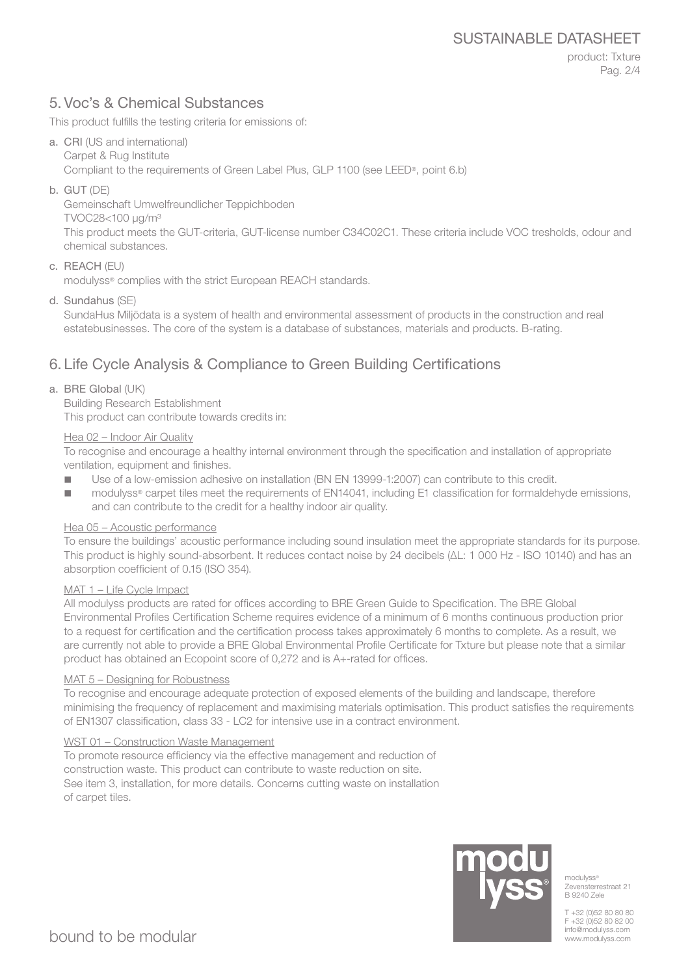# 5. Voc's & Chemical Substances

This product fulfills the testing criteria for emissions of:

- a. CRI (US and international) Carpet & Rug Institute Compliant to the requirements of Green Label Plus, GLP 1100 (see LEED®, point 6.b)
- b. GUT (DE)

Gemeinschaft Umwelfreundlicher Teppichboden

TVOC28<100 μg/m³

This product meets the GUT-criteria, GUT-license number C34C02C1. These criteria include VOC tresholds, odour and chemical substances.

#### c. REACH (EU)

modulyss® complies with the strict European REACH standards.

d. Sundahus (SE)

SundaHus Miljödata is a system of health and environmental assessment of products in the construction and real estatebusinesses. The core of the system is a database of substances, materials and products. B-rating.

# 6. Life Cycle Analysis & Compliance to Green Building Certifications

#### a. BRE Global (UK)

Building Research Establishment This product can contribute towards credits in:

#### Hea 02 – Indoor Air Quality

To recognise and encourage a healthy internal environment through the specification and installation of appropriate ventilation, equipment and finishes.

- Use of a low-emission adhesive on installation (BN EN 13999-1:2007) can contribute to this credit.
- modulyss® carpet tiles meet the requirements of EN14041, including E1 classification for formaldehyde emissions, and can contribute to the credit for a healthy indoor air quality.

#### Hea 05 – Acoustic performance

To ensure the buildings' acoustic performance including sound insulation meet the appropriate standards for its purpose. This product is highly sound-absorbent. It reduces contact noise by 24 decibels (ΔL: 1 000 Hz - ISO 10140) and has an absorption coefficient of 0.15 (ISO 354).

#### MAT 1 – Life Cycle Impact

All modulyss products are rated for offices according to BRE Green Guide to Specification. The BRE Global Environmental Profiles Certification Scheme requires evidence of a minimum of 6 months continuous production prior to a request for certification and the certification process takes approximately 6 months to complete. As a result, we are currently not able to provide a BRE Global Environmental Profile Certificate for Txture but please note that a similar product has obtained an Ecopoint score of 0,272 and is A+-rated for offices.

#### MAT 5 – Designing for Robustness

To recognise and encourage adequate protection of exposed elements of the building and landscape, therefore minimising the frequency of replacement and maximising materials optimisation. This product satisfies the requirements of EN1307 classification, class 33 - LC2 for intensive use in a contract environment.

#### WST 01 – Construction Waste Management

To promote resource efficiency via the effective management and reduction of construction waste. This product can contribute to waste reduction on site. See item 3, installation, for more details. Concerns cutting waste on installation of carpet tiles.



modulyss® Zevensterrestraat 21 B 9240 Zele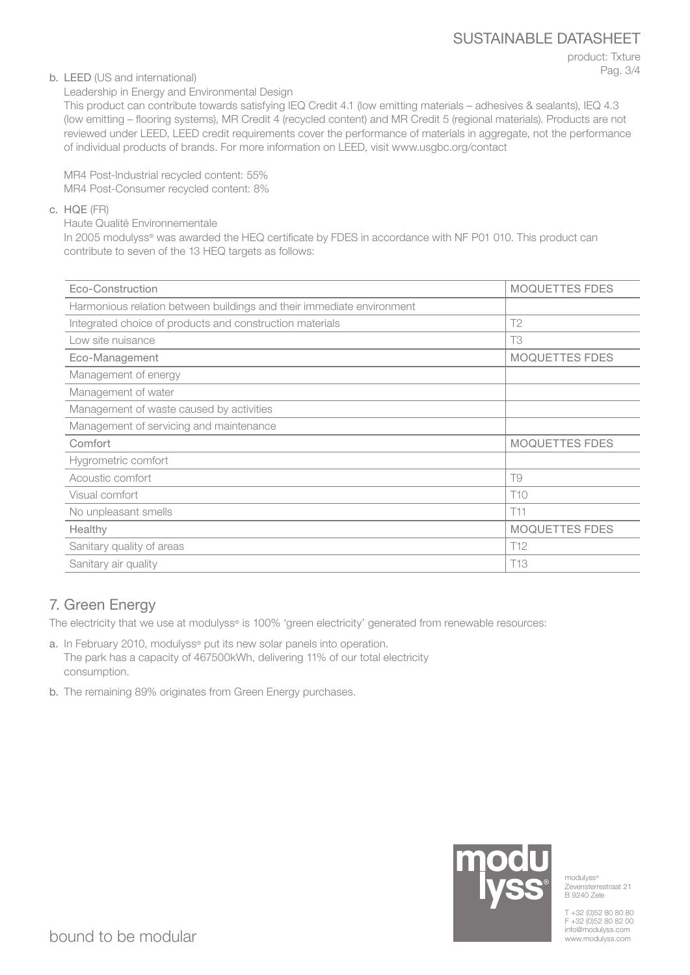product: Txture Pag. 3/4

#### b. LEED (US and international)

Leadership in Energy and Environmental Design

This product can contribute towards satisfying IEQ Credit 4.1 (low emitting materials – adhesives & sealants), IEQ 4.3 (low emitting – flooring systems), MR Credit 4 (recycled content) and MR Credit 5 (regional materials). Products are not reviewed under LEED, LEED credit requirements cover the performance of materials in aggregate, not the performance of individual products of brands. For more information on LEED, visit www.usgbc.org/contact

MR4 Post-Industrial recycled content: 55% MR4 Post-Consumer recycled content: 8%

#### c. HQE (FR)

Haute Qualité Environnementale

In 2005 modulyss® was awarded the HEQ certificate by FDES in accordance with NF P01 010. This product can contribute to seven of the 13 HEQ targets as follows:

| Eco-Construction                                                      | <b>MOQUETTES FDES</b> |
|-----------------------------------------------------------------------|-----------------------|
| Harmonious relation between buildings and their immediate environment |                       |
| Integrated choice of products and construction materials              | T <sub>2</sub>        |
| Low site nuisance                                                     | T <sub>3</sub>        |
| Eco-Management                                                        | MOQUETTES FDES        |
| Management of energy                                                  |                       |
| Management of water                                                   |                       |
| Management of waste caused by activities                              |                       |
| Management of servicing and maintenance                               |                       |
| Comfort                                                               | <b>MOQUETTES FDES</b> |
| Hygrometric comfort                                                   |                       |
| Acoustic comfort                                                      | T9                    |
| Visual comfort                                                        | T <sub>10</sub>       |
| No unpleasant smells                                                  | T11                   |
| Healthy                                                               | <b>MOQUETTES FDES</b> |
| Sanitary quality of areas                                             | T <sub>12</sub>       |
| Sanitary air quality                                                  | T13                   |

# 7. Green Energy

The electricity that we use at modulyss® is 100% 'green electricity' generated from renewable resources:

- a. In February 2010, modulyss® put its new solar panels into operation. The park has a capacity of 467500kWh, delivering 11% of our total electricity consumption.
- b. The remaining 89% originates from Green Energy purchases.



modulyss® Zevensterrestraat 21 B 9240 Zele